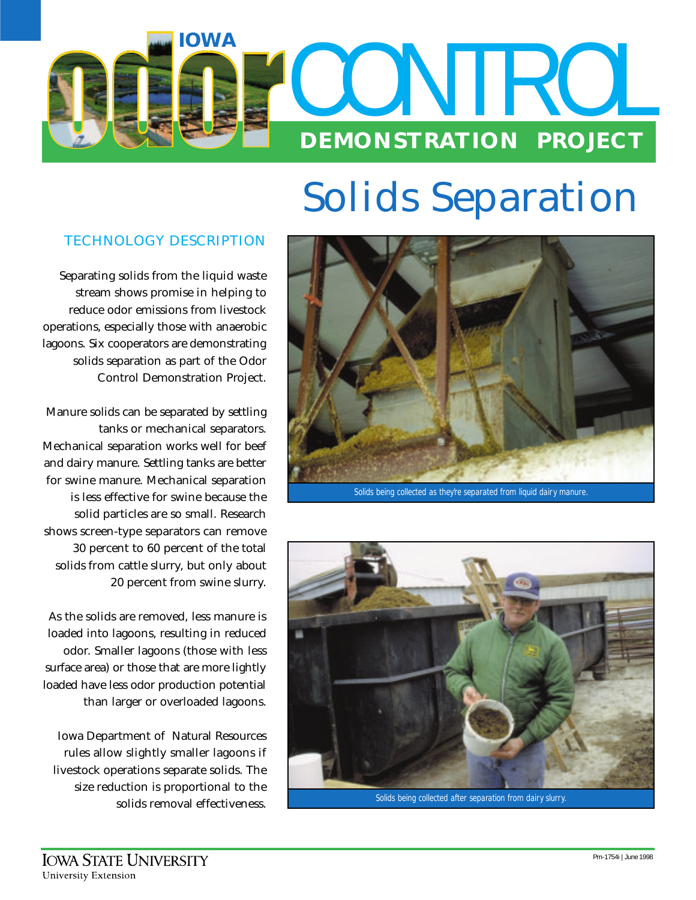

# **Solids Separation**

# **TECHNOLOGY DESCRIPTION**

Separating solids from the liquid waste stream shows promise in helping to reduce odor emissions from livestock operations, especially those with anaerobic lagoons. Six cooperators are demonstrating solids separation as part of the Odor Control Demonstration Project.

Manure solids can be separated by settling tanks or mechanical separators. Mechanical separation works well for beef and dairy manure. Settling tanks are better for swine manure. Mechanical separation is less effective for swine because the solid particles are so small. Research shows screen-type separators can remove 30 percent to 60 percent of the total solids from cattle slurry, but only about 20 percent from swine slurry.

As the solids are removed, less manure is loaded into lagoons, resulting in reduced odor. Smaller lagoons (those with less surface area) or those that are more lightly loaded have less odor production potential than larger or overloaded lagoons.

Iowa Department of Natural Resources rules allow slightly smaller lagoons if livestock operations separate solids. The size reduction is proportional to the solids removal effectiveness.



*Solids being collected as they're separated from liquid dairy manure.*



*Solids being collected after separation from dairy slurry.*